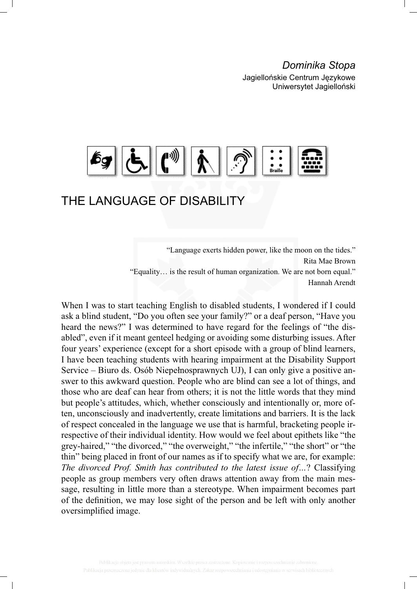*Dominika Stopa*

Jagiellońskie Centrum Językowe Uniwersytet Jagielloński



# THE LANGUAGE OF DISABILITY

"Language exerts hidden power, like the moon on the tides." Rita Mae Brown "Equality… is the result of human organization. We are not born equal." Hannah Arendt

When I was to start teaching English to disabled students, I wondered if I could ask a blind student, "Do you often see your family?" or a deaf person, "Have you heard the news?" I was determined to have regard for the feelings of "the disabled", even if it meant genteel hedging or avoiding some disturbing issues. After four years' experience (except for a short episode with a group of blind learners, I have been teaching students with hearing impairment at the Disability Support Service – Biuro ds. Osób Niepełnosprawnych UJ), I can only give a positive answer to this awkward question. People who are blind can see a lot of things, and those who are deaf can hear from others; it is not the little words that they mind but people's attitudes, which, whether consciously and intentionally or, more often, unconsciously and inadvertently, create limitations and barriers. It is the lack of respect concealed in the language we use that is harmful, bracketing people irrespective of their individual identity. How would we feel about epithets like "the grey-haired," "the divorced," "the overweight," "the infertile," "the short" or "the thin" being placed in front of our names as if to specify what we are, for example: *The divorced Prof. Smith has contributed to the latest issue of…*? Classifying people as group members very often draws attention away from the main message, resulting in little more than a stereotype. When impairment becomes part of the definition, we may lose sight of the person and be left with only another oversimplified image.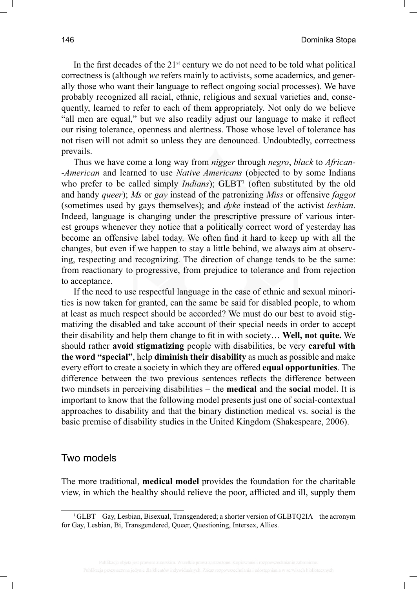In the first decades of the  $21<sup>st</sup>$  century we do not need to be told what political correctness is (although *we* refers mainly to activists, some academics, and generally those who want their language to reflect ongoing social processes). We have probably recognized all racial, ethnic, religious and sexual varieties and, consequently, learned to refer to each of them appropriately. Not only do we believe "all men are equal," but we also readily adjust our language to make it reflect our rising tolerance, openness and alertness. Those whose level of tolerance has not risen will not admit so unless they are denounced. Undoubtedly, correctness prevails.

Thus we have come a long way from *nigger* through *negro*, *black* to *African- -American* and learned to use *Native Americans* (objected to by some Indians who prefer to be called simply *Indians*); GLBT<sup>1</sup> (often substituted by the old and handy *queer*); *Ms* or *gay* instead of the patronizing *Miss* or offensive *faggot* (sometimes used by gays themselves); and *dyke* instead of the activist *lesbian*. Indeed, language is changing under the prescriptive pressure of various interest groups whenever they notice that a politically correct word of yesterday has become an offensive label today. We often find it hard to keep up with all the changes, but even if we happen to stay a little behind, we always aim at observing, respecting and recognizing. The direction of change tends to be the same: from reactionary to progressive, from prejudice to tolerance and from rejection to acceptance.

If the need to use respectful language in the case of ethnic and sexual minorities is now taken for granted, can the same be said for disabled people, to whom at least as much respect should be accorded? We must do our best to avoid stigmatizing the disabled and take account of their special needs in order to accept their disability and help them change to fi t in with society… **Well, not quite.** We should rather **avoid stigmatizing** people with disabilities, be very **careful with the word "special"**, help **diminish their disability** as much as possible and make every effort to create a society in which they are offered **equal opportunities**. The difference between the two previous sentences reflects the difference between two mindsets in perceiving disabilities – the **medical** and the **social** model. It is important to know that the following model presents just one of social-contextual approaches to disability and that the binary distinction medical vs. social is the basic premise of disability studies in the United Kingdom (Shakespeare, 2006).

### Two models

The more traditional, **medical model** provides the foundation for the charitable view, in which the healthy should relieve the poor, affl icted and ill, supply them

<sup>1</sup> GLBT – Gay, Lesbian, Bisexual, Transgendered; a shorter version of GLBTQ2IA – the acronym for Gay, Lesbian, Bi, Transgendered, Queer, Questioning, Intersex, Allies.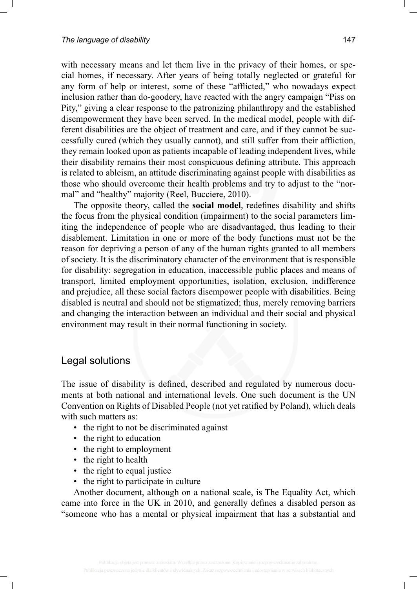with necessary means and let them live in the privacy of their homes, or special homes, if necessary. After years of being totally neglected or grateful for any form of help or interest, some of these "afflicted," who nowadays expect inclusion rather than do-goodery, have reacted with the angry campaign "Piss on Pity," giving a clear response to the patronizing philanthropy and the established disempowerment they have been served. In the medical model, people with different disabilities are the object of treatment and care, and if they cannot be successfully cured (which they usually cannot), and still suffer from their affliction, they remain looked upon as patients incapable of leading independent lives, while their disability remains their most conspicuous defining attribute. This approach is related to ableism, an attitude discriminating against people with disabilities as those who should overcome their health problems and try to adjust to the "normal" and "healthy" majority (Reel, Bucciere, 2010).

The opposite theory, called the **social model**, redefines disability and shifts the focus from the physical condition (impairment) to the social parameters limiting the independence of people who are disadvantaged, thus leading to their disablement. Limitation in one or more of the body functions must not be the reason for depriving a person of any of the human rights granted to all members of society. It is the discriminatory character of the environment that is responsible for disability: segregation in education, inaccessible public places and means of transport, limited employment opportunities, isolation, exclusion, indifference and prejudice, all these social factors disempower people with disabilities. Being disabled is neutral and should not be stigmatized; thus, merely removing barriers and changing the interaction between an individual and their social and physical environment may result in their normal functioning in society.

### Legal solutions

The issue of disability is defined, described and regulated by numerous documents at both national and international levels. One such document is the UN Convention on Rights of Disabled People (not yet ratified by Poland), which deals with such matters as:

- the right to not be discriminated against
- the right to education
- the right to employment
- the right to health
- the right to equal justice
- the right to participate in culture

Another document, although on a national scale, is The Equality Act, which came into force in the UK in 2010, and generally defines a disabled person as "someone who has a mental or physical impairment that has a substantial and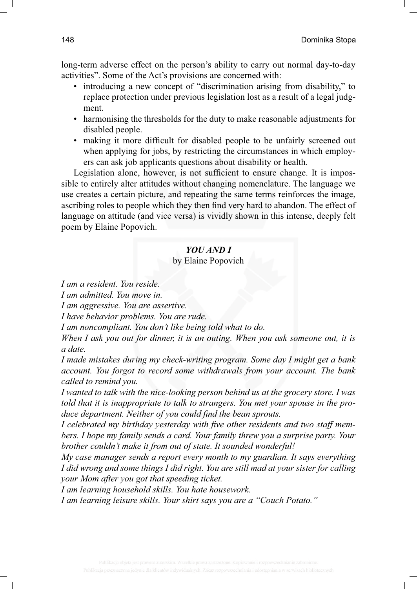long-term adverse effect on the person's ability to carry out normal day-to-day activities". Some of the Act's provisions are concerned with:

- introducing a new concept of "discrimination arising from disability," to replace protection under previous legislation lost as a result of a legal judgment.
- harmonising the thresholds for the duty to make reasonable adjustments for disabled people.
- making it more difficult for disabled people to be unfairly screened out when applying for jobs, by restricting the circumstances in which employers can ask job applicants questions about disability or health.

Legislation alone, however, is not sufficient to ensure change. It is impossible to entirely alter attitudes without changing nomenclature. The language we use creates a certain picture, and repeating the same terms reinforces the image, ascribing roles to people which they then find very hard to abandon. The effect of language on attitude (and vice versa) is vividly shown in this intense, deeply felt poem by Elaine Popovich.

#### *YOU AND I*

by Elaine Popovich

*I am a resident. You reside.*

*I am admitted. You move in.*

*I am aggressive. You are assertive.*

*I have behavior problems. You are rude.*

*I am noncompliant. You don't like being told what to do.*

*When I ask you out for dinner, it is an outing. When you ask someone out, it is a date.*

*I made mistakes during my check-writing program. Some day I might get a bank account. You forgot to record some withdrawals from your account. The bank called to remind you.*

*I wanted to talk with the nice-looking person behind us at the grocery store. I was told that it is inappropriate to talk to strangers. You met your spouse in the produce department. Neither of you could find the bean sprouts.* 

*I celebrated my birthday yesterday with five other residents and two staff members. I hope my family sends a card. Your family threw you a surprise party. Your brother couldn't make it from out of state. It sounded wonderful!*

*My case manager sends a report every month to my guardian. It says everything I did wrong and some things I did right. You are still mad at your sister for calling your Mom after you got that speeding ticket.*

*I am learning household skills. You hate housework.*

*I am learning leisure skills. Your shirt says you are a "Couch Potato."*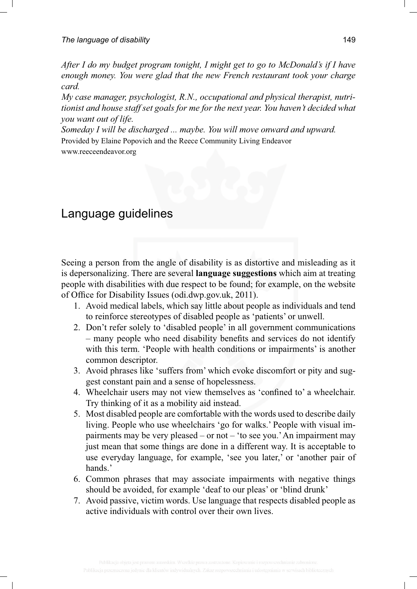*After I do my budget program tonight, I might get to go to McDonald's if I have enough money. You were glad that the new French restaurant took your charge card.*

*My case manager, psychologist, R.N., occupational and physical therapist, nutritionist and house staff set goals for me for the next year. You haven't decided what you want out of life.*

*Someday I will be discharged ... maybe. You will move onward and upward.* Provided by Elaine Popovich and the Reece Community Living Endeavor

www.reeceendeavor.org

# Language guidelines

Seeing a person from the angle of disability is as distortive and misleading as it is depersonalizing. There are several **language suggestions** which aim at treating people with disabilities with due respect to be found; for example, on the website of Office for Disability Issues (odi.dwp.gov.uk, 2011).

- 1. Avoid medical labels, which say little about people as individuals and tend to reinforce stereotypes of disabled people as 'patients' or unwell.
- 2. Don't refer solely to 'disabled people' in all government communications – many people who need disability benefits and services do not identify with this term. 'People with health conditions or impairments' is another common descriptor.
- 3. Avoid phrases like 'suffers from' which evoke discomfort or pity and suggest constant pain and a sense of hopelessness.
- 4. Wheelchair users may not view themselves as 'confined to' a wheelchair. Try thinking of it as a mobility aid instead.
- 5. Most disabled people are comfortable with the words used to describe daily living. People who use wheelchairs 'go for walks.' People with visual impairments may be very pleased – or not – 'to see you.' An impairment may just mean that some things are done in a different way. It is acceptable to use everyday language, for example, 'see you later,' or 'another pair of hands.'
- 6. Common phrases that may associate impairments with negative things should be avoided, for example 'deaf to our pleas' or 'blind drunk'
- 7. Avoid passive, victim words. Use language that respects disabled people as active individuals with control over their own lives.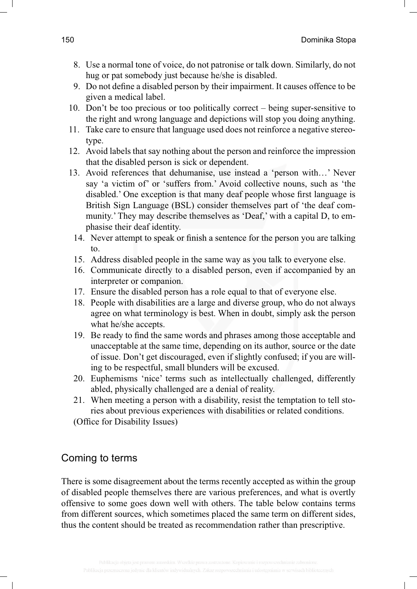- 8. Use a normal tone of voice, do not patronise or talk down. Similarly, do not hug or pat somebody just because he/she is disabled.
- 9. Do not define a disabled person by their impairment. It causes offence to be given a medical label.
- 10. Don't be too precious or too politically correct being super-sensitive to the right and wrong language and depictions will stop you doing anything.
- 11. Take care to ensure that language used does not reinforce a negative stereotype.
- 12. Avoid labels that say nothing about the person and reinforce the impression that the disabled person is sick or dependent.
- 13. Avoid references that dehumanise, use instead a 'person with…' Never say 'a victim of' or 'suffers from.' Avoid collective nouns, such as 'the disabled.' One exception is that many deaf people whose first language is British Sign Language (BSL) consider themselves part of 'the deaf community.' They may describe themselves as 'Deaf,' with a capital D, to emphasise their deaf identity.
	- 14. Never attempt to speak or finish a sentence for the person you are talking to.
	- 15. Address disabled people in the same way as you talk to everyone else.
	- 16. Communicate directly to a disabled person, even if accompanied by an interpreter or companion.
	- 17. Ensure the disabled person has a role equal to that of everyone else.
	- 18. People with disabilities are a large and diverse group, who do not always agree on what terminology is best. When in doubt, simply ask the person what he/she accepts.
	- 19. Be ready to find the same words and phrases among those acceptable and unacceptable at the same time, depending on its author, source or the date of issue. Don't get discouraged, even if slightly confused; if you are willing to be respectful, small blunders will be excused.
- 20. Euphemisms 'nice' terms such as intellectually challenged, differently abled, physically challenged are a denial of reality.
- 21. When meeting a person with a disability, resist the temptation to tell stories about previous experiences with disabilities or related conditions.

(Office for Disability Issues)

## Coming to terms

There is some disagreement about the terms recently accepted as within the group of disabled people themselves there are various preferences, and what is overtly offensive to some goes down well with others. The table below contains terms from different sources, which sometimes placed the same term on different sides, thus the content should be treated as recommendation rather than prescriptive.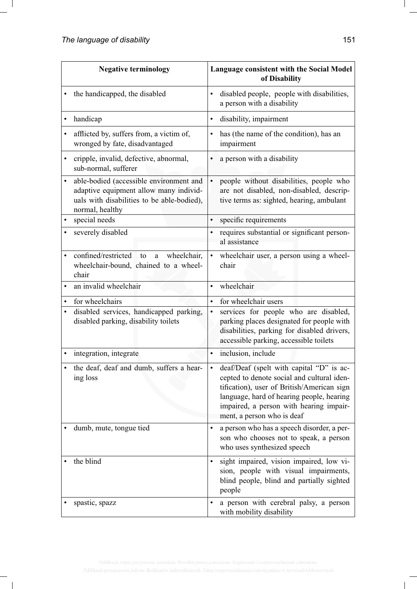| <b>Negative terminology</b> |                                                                                                                                                    | Language consistent with the Social Model<br>of Disability                                                                                                                                                                                                              |  |
|-----------------------------|----------------------------------------------------------------------------------------------------------------------------------------------------|-------------------------------------------------------------------------------------------------------------------------------------------------------------------------------------------------------------------------------------------------------------------------|--|
|                             | the handicapped, the disabled                                                                                                                      | disabled people, people with disabilities,<br>$\bullet$<br>a person with a disability                                                                                                                                                                                   |  |
|                             | handicap                                                                                                                                           | disability, impairment<br>$\bullet$                                                                                                                                                                                                                                     |  |
|                             | afflicted by, suffers from, a victim of,<br>wronged by fate, disadvantaged                                                                         | has (the name of the condition), has an<br>impairment                                                                                                                                                                                                                   |  |
| ٠                           | cripple, invalid, defective, abnormal,<br>sub-normal, sufferer                                                                                     | a person with a disability<br>$\bullet$                                                                                                                                                                                                                                 |  |
|                             | able-bodied (accessible environment and<br>adaptive equipment allow many individ-<br>uals with disabilities to be able-bodied),<br>normal, healthy | people without disabilities, people who<br>$\bullet$<br>are not disabled, non-disabled, descrip-<br>tive terms as: sighted, hearing, ambulant                                                                                                                           |  |
| $\bullet$                   | special needs                                                                                                                                      | $\bullet$<br>specific requirements                                                                                                                                                                                                                                      |  |
|                             | severely disabled                                                                                                                                  | requires substantial or significant person-<br>al assistance                                                                                                                                                                                                            |  |
| $\bullet$                   | confined/restricted<br>wheelchair,<br>to<br>a<br>wheelchair-bound, chained to a wheel-<br>chair                                                    | wheelchair user, a person using a wheel-<br>$\bullet$<br>chair                                                                                                                                                                                                          |  |
| $\bullet$                   | an invalid wheelchair                                                                                                                              | wheelchair<br>$\bullet$                                                                                                                                                                                                                                                 |  |
|                             | for wheelchairs                                                                                                                                    | for wheelchair users<br>$\bullet$                                                                                                                                                                                                                                       |  |
| ٠                           | disabled services, handicapped parking,<br>disabled parking, disability toilets                                                                    | services for people who are disabled,<br>$\bullet$<br>parking places designated for people with<br>disabilities, parking for disabled drivers,<br>accessible parking, accessible toilets                                                                                |  |
|                             | integration, integrate                                                                                                                             | inclusion, include<br>$\bullet$                                                                                                                                                                                                                                         |  |
|                             | the deaf, deaf and dumb, suffers a hear-<br>ing loss                                                                                               | deaf/Deaf (spelt with capital "D" is ac-<br>$\bullet$<br>cepted to denote social and cultural iden-<br>tification), user of British/American sign<br>language, hard of hearing people, hearing<br>impaired, a person with hearing impair-<br>ment, a person who is deaf |  |
|                             | dumb, mute, tongue tied                                                                                                                            | a person who has a speech disorder, a per-<br>$\bullet$<br>son who chooses not to speak, a person<br>who uses synthesized speech                                                                                                                                        |  |
|                             | the blind                                                                                                                                          | sight impaired, vision impaired, low vi-<br>sion, people with visual impairments,<br>blind people, blind and partially sighted<br>people                                                                                                                                |  |
|                             | spastic, spazz                                                                                                                                     | a person with cerebral palsy, a person<br>with mobility disability                                                                                                                                                                                                      |  |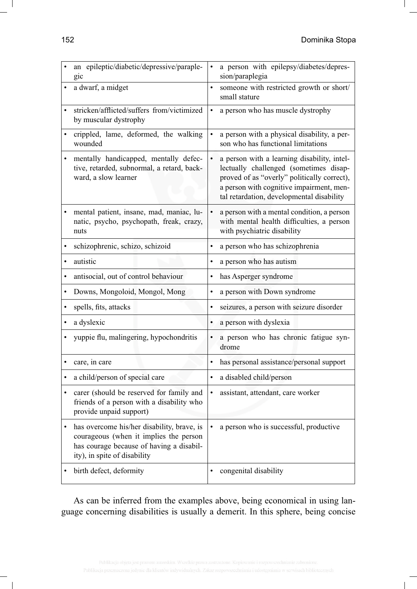|           | an epileptic/diabetic/depressive/paraple-<br>gic                                                                                                                 | $\bullet$ | a person with epilepsy/diabetes/depres-<br>sion/paraplegia                                                                                                                                                                    |
|-----------|------------------------------------------------------------------------------------------------------------------------------------------------------------------|-----------|-------------------------------------------------------------------------------------------------------------------------------------------------------------------------------------------------------------------------------|
|           | a dwarf, a midget                                                                                                                                                | $\bullet$ | someone with restricted growth or short/<br>small stature                                                                                                                                                                     |
| $\bullet$ | stricken/afflicted/suffers from/victimized<br>by muscular dystrophy                                                                                              | $\bullet$ | a person who has muscle dystrophy                                                                                                                                                                                             |
|           | crippled, lame, deformed, the walking<br>wounded                                                                                                                 | $\bullet$ | a person with a physical disability, a per-<br>son who has functional limitations                                                                                                                                             |
|           | mentally handicapped, mentally defec-<br>tive, retarded, subnormal, a retard, back-<br>ward, a slow learner                                                      | $\bullet$ | a person with a learning disability, intel-<br>lectually challenged (sometimes disap-<br>proved of as "overly" politically correct),<br>a person with cognitive impairment, men-<br>tal retardation, developmental disability |
| ٠         | mental patient, insane, mad, maniac, lu-<br>natic, psycho, psychopath, freak, crazy,<br>nuts                                                                     | $\bullet$ | a person with a mental condition, a person<br>with mental health difficulties, a person<br>with psychiatric disability                                                                                                        |
| $\bullet$ | schizophrenic, schizo, schizoid                                                                                                                                  | $\bullet$ | a person who has schizophrenia                                                                                                                                                                                                |
| $\bullet$ | autistic                                                                                                                                                         |           | a person who has autism                                                                                                                                                                                                       |
| $\bullet$ | antisocial, out of control behaviour                                                                                                                             | $\bullet$ | has Asperger syndrome                                                                                                                                                                                                         |
|           | Downs, Mongoloid, Mongol, Mong                                                                                                                                   | $\bullet$ | a person with Down syndrome                                                                                                                                                                                                   |
| $\bullet$ | spells, fits, attacks                                                                                                                                            |           | seizures, a person with seizure disorder                                                                                                                                                                                      |
|           | a dyslexic                                                                                                                                                       | $\bullet$ | a person with dyslexia                                                                                                                                                                                                        |
|           | yuppie flu, malingering, hypochondritis                                                                                                                          | $\bullet$ | a person who has chronic fatigue syn-<br>drome                                                                                                                                                                                |
|           | care, in care                                                                                                                                                    | ٠         | has personal assistance/personal support                                                                                                                                                                                      |
| $\bullet$ | a child/person of special care                                                                                                                                   | $\bullet$ | a disabled child/person                                                                                                                                                                                                       |
|           | carer (should be reserved for family and<br>friends of a person with a disability who<br>provide unpaid support)                                                 | $\bullet$ | assistant, attendant, care worker                                                                                                                                                                                             |
| $\bullet$ | has overcome his/her disability, brave, is<br>courageous (when it implies the person<br>has courage because of having a disabil-<br>ity), in spite of disability |           | a person who is successful, productive                                                                                                                                                                                        |
|           | birth defect, deformity                                                                                                                                          | $\bullet$ | congenital disability                                                                                                                                                                                                         |

As can be inferred from the examples above, being economical in using language concerning disabilities is usually a demerit. In this sphere, being concise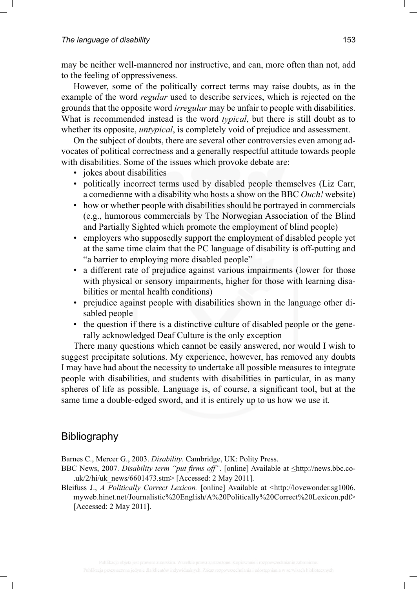may be neither well-mannered nor instructive, and can, more often than not, add to the feeling of oppressiveness.

However, some of the politically correct terms may raise doubts, as in the example of the word *regular* used to describe services, which is rejected on the grounds that the opposite word *irregular* may be unfair to people with disabilities. What is recommended instead is the word *typical*, but there is still doubt as to whether its opposite, *untypical*, is completely void of prejudice and assessment.

On the subject of doubts, there are several other controversies even among advocates of political correctness and a generally respectful attitude towards people with disabilities. Some of the issues which provoke debate are:

- jokes about disabilities
- politically incorrect terms used by disabled people themselves (Liz Carr, a comedienne with a disability who hosts a show on the BBC *Ouch!* website)
- how or whether people with disabilities should be portrayed in commercials (e.g., humorous commercials by The Norwegian Association of the Blind and Partially Sighted which promote the employment of blind people)
- employers who supposedly support the employment of disabled people yet at the same time claim that the PC language of disability is off-putting and "a barrier to employing more disabled people"
- a different rate of prejudice against various impairments (lower for those with physical or sensory impairments, higher for those with learning disabilities or mental health conditions)
- prejudice against people with disabilities shown in the language other disabled people
- the question if there is a distinctive culture of disabled people or the generally acknowledged Deaf Culture is the only exception

There many questions which cannot be easily answered, nor would I wish to suggest precipitate solutions. My experience, however, has removed any doubts I may have had about the necessity to undertake all possible measures to integrate people with disabilities, and students with disabilities in particular, in as many spheres of life as possible. Language is, of course, a significant tool, but at the same time a double-edged sword, and it is entirely up to us how we use it.

## Bibliography

Barnes C., Mercer G., 2003. *Disability*. Cambridge, UK: Polity Press.

- BBC News, 2007. *Disability term "put firms off"*. [online] Available at  $\leq$ http://news.bbc.co-.uk/2/hi/uk\_news/6601473.stm> [Accessed: 2 May 2011].
- Bleifuss J., *A Politically Correct Lexicon*. [online] Available at  $\lt$ http://lovewonder.sg1006. myweb.hinet.net/Journalistic%20English/A%20Politically%20Correct%20Lexicon.pdf> [Accessed: 2 May 2011].